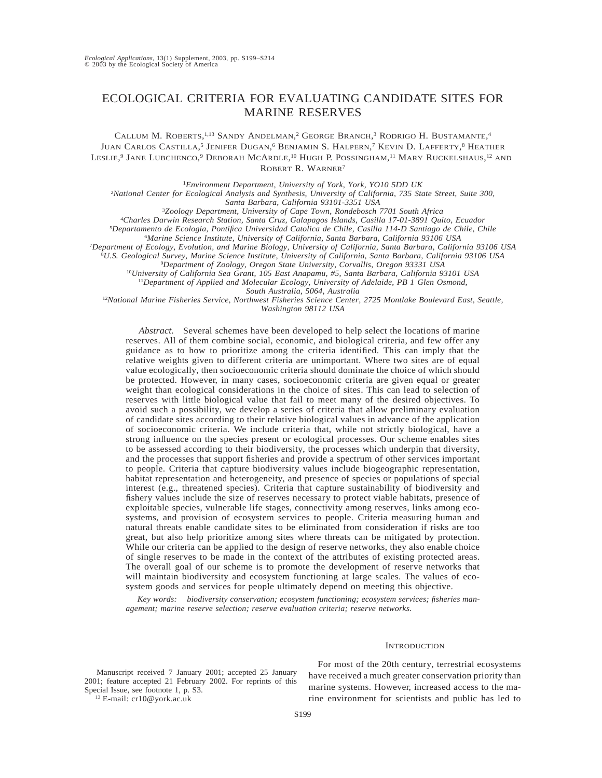# ECOLOGICAL CRITERIA FOR EVALUATING CANDIDATE SITES FOR MARINE RESERVES

CALLUM M. ROBERTS, <sup>1,13</sup> SANDY ANDELMAN,<sup>2</sup> GEORGE BRANCH,<sup>3</sup> RODRIGO H. BUSTAMANTE,<sup>4</sup> JUAN CARLOS CASTILLA, <sup>5</sup> JENIFER DUGAN, <sup>6</sup> BENJAMIN S. HALPERN, <sup>7</sup> KEVIN D. LAFFERTY, <sup>8</sup> HEATHER Leslie,<sup>9</sup> Jane Lubchenco,<sup>9</sup> Deborah McArdle,<sup>10</sup> Hugh P. Possingham,<sup>11</sup> Mary Ruckelshaus,<sup>12</sup> and ROBERT R. WARNER<sup>7</sup>

<sup>1</sup>*Environment Department, University of York, York, YO10 5DD UK*

2 *National Center for Ecological Analysis and Synthesis, University of California, 735 State Street, Suite 300,*

*Santa Barbara, California 93101-3351 USA*

3 *Zoology Department, University of Cape Town, Rondebosch 7701 South Africa*

4 *Charles Darwin Research Station, Santa Cruz, Galapagos Islands, Casilla 17-01-3891 Quito, Ecuador*

5 *Departamento de Ecologia, Pontifica Universidad Catolica de Chile, Casilla 114-D Santiago de Chile, Chile*

6 *Marine Science Institute, University of California, Santa Barbara, California 93106 USA*

7 *Department of Ecology, Evolution, and Marine Biology, University of California, Santa Barbara, California 93106 USA*

8 *U.S. Geological Survey, Marine Science Institute, University of California, Santa Barbara, California 93106 USA*

9 *Department of Zoology, Oregon State University, Corvallis, Oregon 93331 USA*

<sup>10</sup>*University of California Sea Grant, 105 East Anapamu, #5, Santa Barbara, California 93101 USA* <sup>11</sup>*Department of Applied and Molecular Ecology, University of Adelaide, PB 1 Glen Osmond,*

*South Australia, 5064, Australia*

<sup>12</sup>*National Marine Fisheries Service, Northwest Fisheries Science Center, 2725 Montlake Boulevard East, Seattle, Washington 98112 USA*

*Abstract.* Several schemes have been developed to help select the locations of marine reserves. All of them combine social, economic, and biological criteria, and few offer any guidance as to how to prioritize among the criteria identified. This can imply that the relative weights given to different criteria are unimportant. Where two sites are of equal value ecologically, then socioeconomic criteria should dominate the choice of which should be protected. However, in many cases, socioeconomic criteria are given equal or greater weight than ecological considerations in the choice of sites. This can lead to selection of reserves with little biological value that fail to meet many of the desired objectives. To avoid such a possibility, we develop a series of criteria that allow preliminary evaluation of candidate sites according to their relative biological values in advance of the application of socioeconomic criteria. We include criteria that, while not strictly biological, have a strong influence on the species present or ecological processes. Our scheme enables sites to be assessed according to their biodiversity, the processes which underpin that diversity, and the processes that support fisheries and provide a spectrum of other services important to people. Criteria that capture biodiversity values include biogeographic representation, habitat representation and heterogeneity, and presence of species or populations of special interest (e.g., threatened species). Criteria that capture sustainability of biodiversity and fishery values include the size of reserves necessary to protect viable habitats, presence of exploitable species, vulnerable life stages, connectivity among reserves, links among ecosystems, and provision of ecosystem services to people. Criteria measuring human and natural threats enable candidate sites to be eliminated from consideration if risks are too great, but also help prioritize among sites where threats can be mitigated by protection. While our criteria can be applied to the design of reserve networks, they also enable choice of single reserves to be made in the context of the attributes of existing protected areas. The overall goal of our scheme is to promote the development of reserve networks that will maintain biodiversity and ecosystem functioning at large scales. The values of ecosystem goods and services for people ultimately depend on meeting this objective.

*Key words: biodiversity conservation; ecosystem functioning; ecosystem services; fisheries management; marine reserve selection; reserve evaluation criteria; reserve networks.*

#### **INTRODUCTION**

Manuscript received 7 January 2001; accepted 25 January 2001; feature accepted 21 February 2002. For reprints of this Special Issue, see footnote 1, p. S3.

<sup>13</sup> E-mail: cr10@york.ac.uk

For most of the 20th century, terrestrial ecosystems have received a much greater conservation priority than marine systems. However, increased access to the marine environment for scientists and public has led to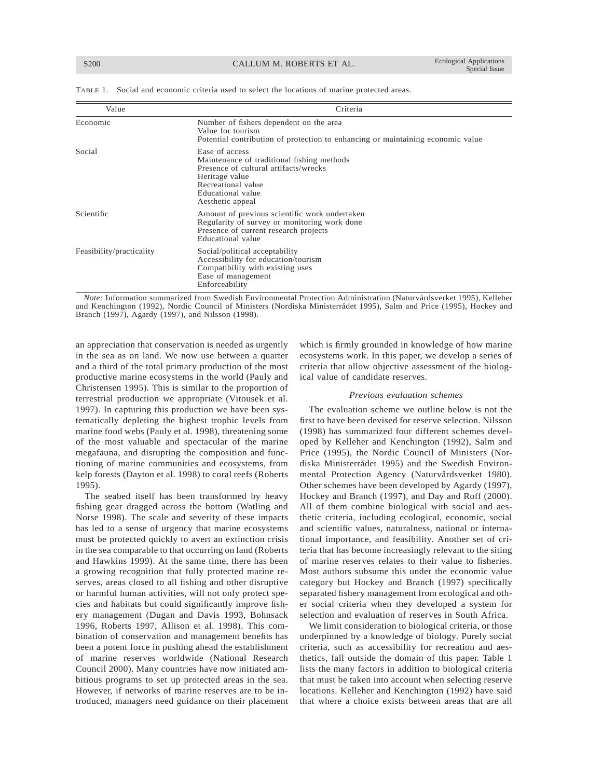| Value                    | Criteria                                                                                                                                                                               |  |  |  |  |  |  |  |
|--------------------------|----------------------------------------------------------------------------------------------------------------------------------------------------------------------------------------|--|--|--|--|--|--|--|
| Economic                 | Number of fishers dependent on the area<br>Value for tourism<br>Potential contribution of protection to enhancing or maintaining economic value                                        |  |  |  |  |  |  |  |
| Social                   | Ease of access<br>Maintenance of traditional fishing methods<br>Presence of cultural artifacts/wrecks<br>Heritage value<br>Recreational value<br>Educational value<br>Aesthetic appeal |  |  |  |  |  |  |  |
| Scientific               | Amount of previous scientific work undertaken<br>Regularity of survey or monitoring work done<br>Presence of current research projects<br>Educational value                            |  |  |  |  |  |  |  |
| Feasibility/practicality | Social/political acceptability<br>Accessibility for education/tourism<br>Compatibility with existing uses<br>Ease of management<br>Enforceability                                      |  |  |  |  |  |  |  |

|  | TABLE 1. Social and economic criteria used to select the locations of marine protected areas. |  |  |  |  |  |  |  |  |  |  |  |
|--|-----------------------------------------------------------------------------------------------|--|--|--|--|--|--|--|--|--|--|--|
|--|-----------------------------------------------------------------------------------------------|--|--|--|--|--|--|--|--|--|--|--|

*Note:* Information summarized from Swedish Environmental Protection Administration (Naturva˚rdsverket 1995), Kelleher and Kenchington (1992), Nordic Council of Ministers (Nordiska Ministerra˚det 1995), Salm and Price (1995), Hockey and Branch (1997), Agardy (1997), and Nilsson (1998).

an appreciation that conservation is needed as urgently in the sea as on land. We now use between a quarter and a third of the total primary production of the most productive marine ecosystems in the world (Pauly and Christensen 1995). This is similar to the proportion of terrestrial production we appropriate (Vitousek et al. 1997). In capturing this production we have been systematically depleting the highest trophic levels from marine food webs (Pauly et al. 1998), threatening some of the most valuable and spectacular of the marine megafauna, and disrupting the composition and functioning of marine communities and ecosystems, from kelp forests (Dayton et al. 1998) to coral reefs (Roberts 1995).

The seabed itself has been transformed by heavy fishing gear dragged across the bottom (Watling and Norse 1998). The scale and severity of these impacts has led to a sense of urgency that marine ecosystems must be protected quickly to avert an extinction crisis in the sea comparable to that occurring on land (Roberts and Hawkins 1999). At the same time, there has been a growing recognition that fully protected marine reserves, areas closed to all fishing and other disruptive or harmful human activities, will not only protect species and habitats but could significantly improve fishery management (Dugan and Davis 1993, Bohnsack 1996, Roberts 1997, Allison et al. 1998). This combination of conservation and management benefits has been a potent force in pushing ahead the establishment of marine reserves worldwide (National Research Council 2000). Many countries have now initiated ambitious programs to set up protected areas in the sea. However, if networks of marine reserves are to be introduced, managers need guidance on their placement

which is firmly grounded in knowledge of how marine ecosystems work. In this paper, we develop a series of criteria that allow objective assessment of the biological value of candidate reserves.

### *Previous evaluation schemes*

The evaluation scheme we outline below is not the first to have been devised for reserve selection. Nilsson (1998) has summarized four different schemes developed by Kelleher and Kenchington (1992), Salm and Price (1995), the Nordic Council of Ministers (Nordiska Ministerrådet 1995) and the Swedish Environmental Protection Agency (Naturvårdsverket 1980). Other schemes have been developed by Agardy (1997), Hockey and Branch (1997), and Day and Roff (2000). All of them combine biological with social and aesthetic criteria, including ecological, economic, social and scientific values, naturalness, national or international importance, and feasibility. Another set of criteria that has become increasingly relevant to the siting of marine reserves relates to their value to fisheries. Most authors subsume this under the economic value category but Hockey and Branch (1997) specifically separated fishery management from ecological and other social criteria when they developed a system for selection and evaluation of reserves in South Africa.

We limit consideration to biological criteria, or those underpinned by a knowledge of biology. Purely social criteria, such as accessibility for recreation and aesthetics, fall outside the domain of this paper. Table 1 lists the many factors in addition to biological criteria that must be taken into account when selecting reserve locations. Kelleher and Kenchington (1992) have said that where a choice exists between areas that are all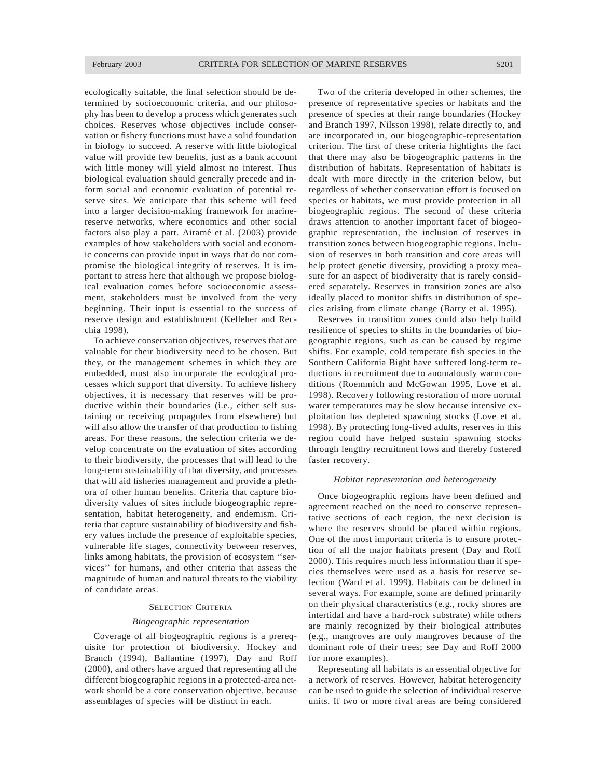ecologically suitable, the final selection should be determined by socioeconomic criteria, and our philosophy has been to develop a process which generates such choices. Reserves whose objectives include conservation or fishery functions must have a solid foundation in biology to succeed. A reserve with little biological value will provide few benefits, just as a bank account with little money will yield almost no interest. Thus biological evaluation should generally precede and inform social and economic evaluation of potential reserve sites. We anticipate that this scheme will feed into a larger decision-making framework for marinereserve networks, where economics and other social factors also play a part. Airamé et al. (2003) provide examples of how stakeholders with social and economic concerns can provide input in ways that do not compromise the biological integrity of reserves. It is important to stress here that although we propose biological evaluation comes before socioeconomic assessment, stakeholders must be involved from the very beginning. Their input is essential to the success of reserve design and establishment (Kelleher and Recchia 1998).

To achieve conservation objectives, reserves that are valuable for their biodiversity need to be chosen. But they, or the management schemes in which they are embedded, must also incorporate the ecological processes which support that diversity. To achieve fishery objectives, it is necessary that reserves will be productive within their boundaries (i.e., either self sustaining or receiving propagules from elsewhere) but will also allow the transfer of that production to fishing areas. For these reasons, the selection criteria we develop concentrate on the evaluation of sites according to their biodiversity, the processes that will lead to the long-term sustainability of that diversity, and processes that will aid fisheries management and provide a plethora of other human benefits. Criteria that capture biodiversity values of sites include biogeographic representation, habitat heterogeneity, and endemism. Criteria that capture sustainability of biodiversity and fishery values include the presence of exploitable species, vulnerable life stages, connectivity between reserves, links among habitats, the provision of ecosystem ''services'' for humans, and other criteria that assess the magnitude of human and natural threats to the viability of candidate areas.

## SELECTION CRITERIA

#### *Biogeographic representation*

Coverage of all biogeographic regions is a prerequisite for protection of biodiversity. Hockey and Branch (1994), Ballantine (1997), Day and Roff (2000), and others have argued that representing all the different biogeographic regions in a protected-area network should be a core conservation objective, because assemblages of species will be distinct in each.

Two of the criteria developed in other schemes, the presence of representative species or habitats and the presence of species at their range boundaries (Hockey and Branch 1997, Nilsson 1998), relate directly to, and are incorporated in, our biogeographic-representation criterion. The first of these criteria highlights the fact that there may also be biogeographic patterns in the distribution of habitats. Representation of habitats is dealt with more directly in the criterion below, but regardless of whether conservation effort is focused on species or habitats, we must provide protection in all biogeographic regions. The second of these criteria draws attention to another important facet of biogeographic representation, the inclusion of reserves in transition zones between biogeographic regions. Inclusion of reserves in both transition and core areas will help protect genetic diversity, providing a proxy measure for an aspect of biodiversity that is rarely considered separately. Reserves in transition zones are also ideally placed to monitor shifts in distribution of species arising from climate change (Barry et al. 1995).

Reserves in transition zones could also help build resilience of species to shifts in the boundaries of biogeographic regions, such as can be caused by regime shifts. For example, cold temperate fish species in the Southern California Bight have suffered long-term reductions in recruitment due to anomalously warm conditions (Roemmich and McGowan 1995, Love et al. 1998). Recovery following restoration of more normal water temperatures may be slow because intensive exploitation has depleted spawning stocks (Love et al. 1998). By protecting long-lived adults, reserves in this region could have helped sustain spawning stocks through lengthy recruitment lows and thereby fostered faster recovery.

#### *Habitat representation and heterogeneity*

Once biogeographic regions have been defined and agreement reached on the need to conserve representative sections of each region, the next decision is where the reserves should be placed within regions. One of the most important criteria is to ensure protection of all the major habitats present (Day and Roff 2000). This requires much less information than if species themselves were used as a basis for reserve selection (Ward et al. 1999). Habitats can be defined in several ways. For example, some are defined primarily on their physical characteristics (e.g., rocky shores are intertidal and have a hard-rock substrate) while others are mainly recognized by their biological attributes (e.g., mangroves are only mangroves because of the dominant role of their trees; see Day and Roff 2000 for more examples).

Representing all habitats is an essential objective for a network of reserves. However, habitat heterogeneity can be used to guide the selection of individual reserve units. If two or more rival areas are being considered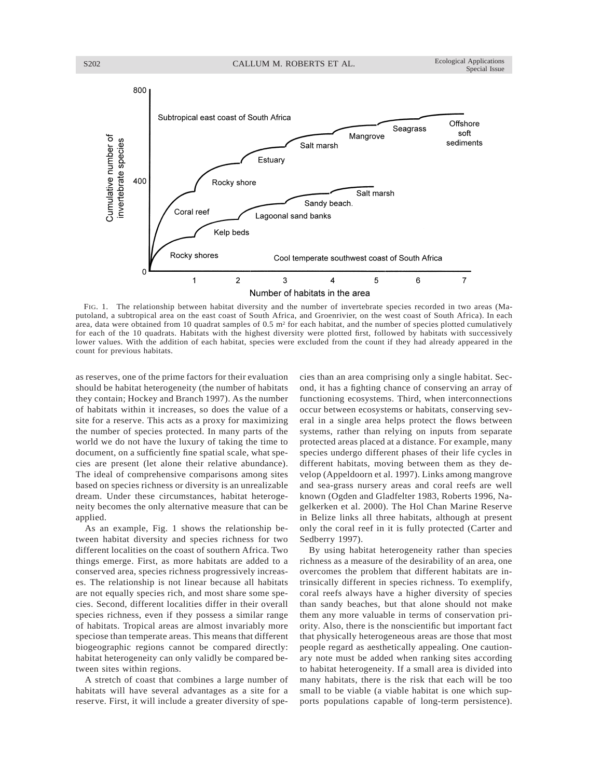

FIG. 1. The relationship between habitat diversity and the number of invertebrate species recorded in two areas (Maputoland, a subtropical area on the east coast of South Africa, and Groenrivier, on the west coast of South Africa). In each area, data were obtained from 10 quadrat samples of  $0.5 \text{ m}^2$  for each habitat, and the number of species plotted cumulatively for each of the 10 quadrats. Habitats with the highest diversity were plotted first, followed by habitats with successively lower values. With the addition of each habitat, species were excluded from the count if they had already appeared in the count for previous habitats.

as reserves, one of the prime factors for their evaluation should be habitat heterogeneity (the number of habitats they contain; Hockey and Branch 1997). As the number of habitats within it increases, so does the value of a site for a reserve. This acts as a proxy for maximizing the number of species protected. In many parts of the world we do not have the luxury of taking the time to document, on a sufficiently fine spatial scale, what species are present (let alone their relative abundance). The ideal of comprehensive comparisons among sites based on species richness or diversity is an unrealizable dream. Under these circumstances, habitat heterogeneity becomes the only alternative measure that can be applied.

As an example, Fig. 1 shows the relationship between habitat diversity and species richness for two different localities on the coast of southern Africa. Two things emerge. First, as more habitats are added to a conserved area, species richness progressively increases. The relationship is not linear because all habitats are not equally species rich, and most share some species. Second, different localities differ in their overall species richness, even if they possess a similar range of habitats. Tropical areas are almost invariably more speciose than temperate areas. This means that different biogeographic regions cannot be compared directly: habitat heterogeneity can only validly be compared between sites within regions.

A stretch of coast that combines a large number of habitats will have several advantages as a site for a reserve. First, it will include a greater diversity of species than an area comprising only a single habitat. Second, it has a fighting chance of conserving an array of functioning ecosystems. Third, when interconnections occur between ecosystems or habitats, conserving several in a single area helps protect the flows between systems, rather than relying on inputs from separate protected areas placed at a distance. For example, many species undergo different phases of their life cycles in different habitats, moving between them as they develop (Appeldoorn et al. 1997). Links among mangrove and sea-grass nursery areas and coral reefs are well known (Ogden and Gladfelter 1983, Roberts 1996, Nagelkerken et al. 2000). The Hol Chan Marine Reserve in Belize links all three habitats, although at present only the coral reef in it is fully protected (Carter and Sedberry 1997).

By using habitat heterogeneity rather than species richness as a measure of the desirability of an area, one overcomes the problem that different habitats are intrinsically different in species richness. To exemplify, coral reefs always have a higher diversity of species than sandy beaches, but that alone should not make them any more valuable in terms of conservation priority. Also, there is the nonscientific but important fact that physically heterogeneous areas are those that most people regard as aesthetically appealing. One cautionary note must be added when ranking sites according to habitat heterogeneity. If a small area is divided into many habitats, there is the risk that each will be too small to be viable (a viable habitat is one which supports populations capable of long-term persistence).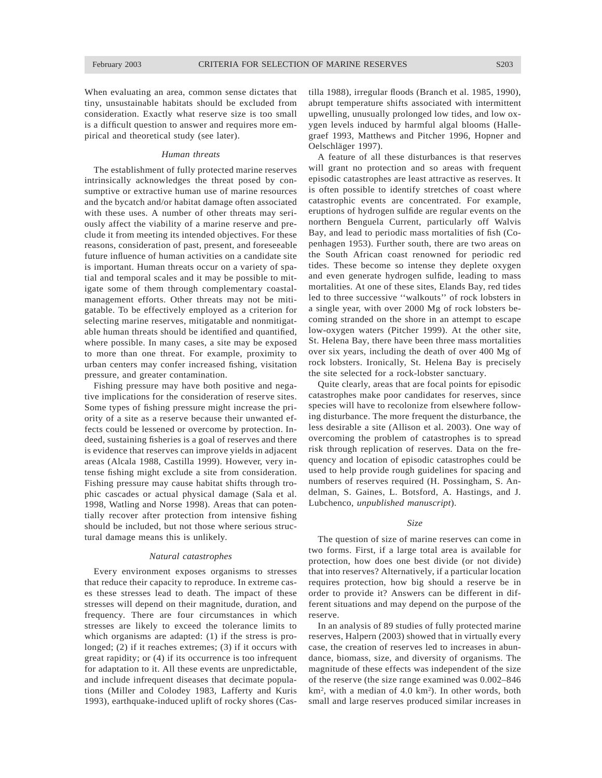When evaluating an area, common sense dictates that tiny, unsustainable habitats should be excluded from consideration. Exactly what reserve size is too small is a difficult question to answer and requires more empirical and theoretical study (see later).

#### *Human threats*

The establishment of fully protected marine reserves intrinsically acknowledges the threat posed by consumptive or extractive human use of marine resources and the bycatch and/or habitat damage often associated with these uses. A number of other threats may seriously affect the viability of a marine reserve and preclude it from meeting its intended objectives. For these reasons, consideration of past, present, and foreseeable future influence of human activities on a candidate site is important. Human threats occur on a variety of spatial and temporal scales and it may be possible to mitigate some of them through complementary coastalmanagement efforts. Other threats may not be mitigatable. To be effectively employed as a criterion for selecting marine reserves, mitigatable and nonmitigatable human threats should be identified and quantified, where possible. In many cases, a site may be exposed to more than one threat. For example, proximity to urban centers may confer increased fishing, visitation pressure, and greater contamination.

Fishing pressure may have both positive and negative implications for the consideration of reserve sites. Some types of fishing pressure might increase the priority of a site as a reserve because their unwanted effects could be lessened or overcome by protection. Indeed, sustaining fisheries is a goal of reserves and there is evidence that reserves can improve yields in adjacent areas (Alcala 1988, Castilla 1999). However, very intense fishing might exclude a site from consideration. Fishing pressure may cause habitat shifts through trophic cascades or actual physical damage (Sala et al. 1998, Watling and Norse 1998). Areas that can potentially recover after protection from intensive fishing should be included, but not those where serious structural damage means this is unlikely.

#### *Natural catastrophes*

Every environment exposes organisms to stresses that reduce their capacity to reproduce. In extreme cases these stresses lead to death. The impact of these stresses will depend on their magnitude, duration, and frequency. There are four circumstances in which stresses are likely to exceed the tolerance limits to which organisms are adapted: (1) if the stress is prolonged; (2) if it reaches extremes; (3) if it occurs with great rapidity; or (4) if its occurrence is too infrequent for adaptation to it. All these events are unpredictable, and include infrequent diseases that decimate populations (Miller and Colodey 1983, Lafferty and Kuris 1993), earthquake-induced uplift of rocky shores (Castilla 1988), irregular floods (Branch et al. 1985, 1990), abrupt temperature shifts associated with intermittent upwelling, unusually prolonged low tides, and low oxygen levels induced by harmful algal blooms (Hallegraef 1993, Matthews and Pitcher 1996, Hopner and Oelschläger 1997).

A feature of all these disturbances is that reserves will grant no protection and so areas with frequent episodic catastrophes are least attractive as reserves. It is often possible to identify stretches of coast where catastrophic events are concentrated. For example, eruptions of hydrogen sulfide are regular events on the northern Benguela Current, particularly off Walvis Bay, and lead to periodic mass mortalities of fish (Copenhagen 1953). Further south, there are two areas on the South African coast renowned for periodic red tides. These become so intense they deplete oxygen and even generate hydrogen sulfide, leading to mass mortalities. At one of these sites, Elands Bay, red tides led to three successive ''walkouts'' of rock lobsters in a single year, with over 2000 Mg of rock lobsters becoming stranded on the shore in an attempt to escape low-oxygen waters (Pitcher 1999). At the other site, St. Helena Bay, there have been three mass mortalities over six years, including the death of over 400 Mg of rock lobsters. Ironically, St. Helena Bay is precisely the site selected for a rock-lobster sanctuary.

Quite clearly, areas that are focal points for episodic catastrophes make poor candidates for reserves, since species will have to recolonize from elsewhere following disturbance. The more frequent the disturbance, the less desirable a site (Allison et al. 2003). One way of overcoming the problem of catastrophes is to spread risk through replication of reserves. Data on the frequency and location of episodic catastrophes could be used to help provide rough guidelines for spacing and numbers of reserves required (H. Possingham, S. Andelman, S. Gaines, L. Botsford, A. Hastings, and J. Lubchenco, *unpublished manuscript*).

#### *Size*

The question of size of marine reserves can come in two forms. First, if a large total area is available for protection, how does one best divide (or not divide) that into reserves? Alternatively, if a particular location requires protection, how big should a reserve be in order to provide it? Answers can be different in different situations and may depend on the purpose of the reserve.

In an analysis of 89 studies of fully protected marine reserves, Halpern (2003) showed that in virtually every case, the creation of reserves led to increases in abundance, biomass, size, and diversity of organisms. The magnitude of these effects was independent of the size of the reserve (the size range examined was 0.002–846 km2, with a median of 4.0 km2 ). In other words, both small and large reserves produced similar increases in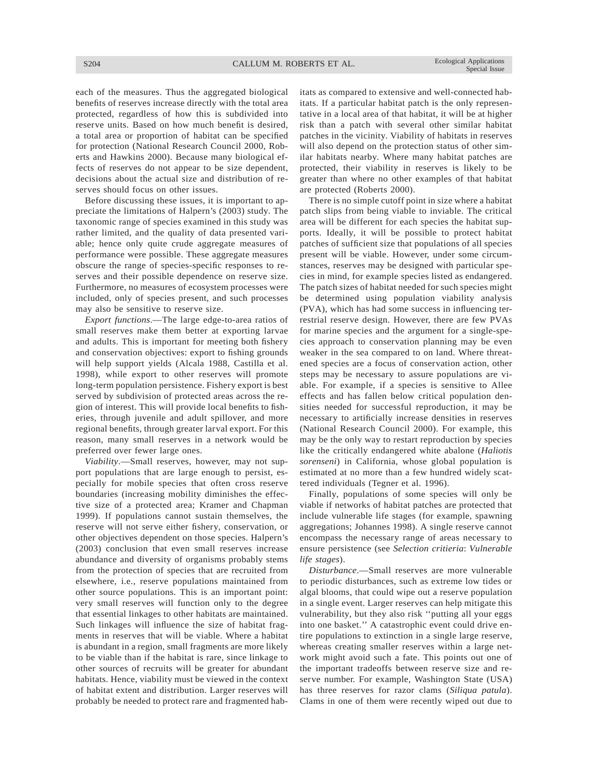each of the measures. Thus the aggregated biological benefits of reserves increase directly with the total area protected, regardless of how this is subdivided into reserve units. Based on how much benefit is desired, a total area or proportion of habitat can be specified for protection (National Research Council 2000, Roberts and Hawkins 2000). Because many biological effects of reserves do not appear to be size dependent, decisions about the actual size and distribution of reserves should focus on other issues.

Before discussing these issues, it is important to appreciate the limitations of Halpern's (2003) study. The taxonomic range of species examined in this study was rather limited, and the quality of data presented variable; hence only quite crude aggregate measures of performance were possible. These aggregate measures obscure the range of species-specific responses to reserves and their possible dependence on reserve size. Furthermore, no measures of ecosystem processes were included, only of species present, and such processes may also be sensitive to reserve size.

*Export functions*.—The large edge-to-area ratios of small reserves make them better at exporting larvae and adults. This is important for meeting both fishery and conservation objectives: export to fishing grounds will help support yields (Alcala 1988, Castilla et al. 1998), while export to other reserves will promote long-term population persistence. Fishery export is best served by subdivision of protected areas across the region of interest. This will provide local benefits to fisheries, through juvenile and adult spillover, and more regional benefits, through greater larval export. For this reason, many small reserves in a network would be preferred over fewer large ones.

*Viability*.—Small reserves, however, may not support populations that are large enough to persist, especially for mobile species that often cross reserve boundaries (increasing mobility diminishes the effective size of a protected area; Kramer and Chapman 1999). If populations cannot sustain themselves, the reserve will not serve either fishery, conservation, or other objectives dependent on those species. Halpern's (2003) conclusion that even small reserves increase abundance and diversity of organisms probably stems from the protection of species that are recruited from elsewhere, i.e., reserve populations maintained from other source populations. This is an important point: very small reserves will function only to the degree that essential linkages to other habitats are maintained. Such linkages will influence the size of habitat fragments in reserves that will be viable. Where a habitat is abundant in a region, small fragments are more likely to be viable than if the habitat is rare, since linkage to other sources of recruits will be greater for abundant habitats. Hence, viability must be viewed in the context of habitat extent and distribution. Larger reserves will probably be needed to protect rare and fragmented habitats as compared to extensive and well-connected habitats. If a particular habitat patch is the only representative in a local area of that habitat, it will be at higher risk than a patch with several other similar habitat patches in the vicinity. Viability of habitats in reserves will also depend on the protection status of other similar habitats nearby. Where many habitat patches are protected, their viability in reserves is likely to be greater than where no other examples of that habitat are protected (Roberts 2000).

There is no simple cutoff point in size where a habitat patch slips from being viable to inviable. The critical area will be different for each species the habitat supports. Ideally, it will be possible to protect habitat patches of sufficient size that populations of all species present will be viable. However, under some circumstances, reserves may be designed with particular species in mind, for example species listed as endangered. The patch sizes of habitat needed for such species might be determined using population viability analysis (PVA), which has had some success in influencing terrestrial reserve design. However, there are few PVAs for marine species and the argument for a single-species approach to conservation planning may be even weaker in the sea compared to on land. Where threatened species are a focus of conservation action, other steps may be necessary to assure populations are viable. For example, if a species is sensitive to Allee effects and has fallen below critical population densities needed for successful reproduction, it may be necessary to artificially increase densities in reserves (National Research Council 2000). For example, this may be the only way to restart reproduction by species like the critically endangered white abalone (*Haliotis sorenseni*) in California, whose global population is estimated at no more than a few hundred widely scattered individuals (Tegner et al. 1996).

Finally, populations of some species will only be viable if networks of habitat patches are protected that include vulnerable life stages (for example, spawning aggregations; Johannes 1998). A single reserve cannot encompass the necessary range of areas necessary to ensure persistence (see *Selection critieria*: *Vulnerable life stages*).

*Disturbance*.—Small reserves are more vulnerable to periodic disturbances, such as extreme low tides or algal blooms, that could wipe out a reserve population in a single event. Larger reserves can help mitigate this vulnerability, but they also risk ''putting all your eggs into one basket.'' A catastrophic event could drive entire populations to extinction in a single large reserve, whereas creating smaller reserves within a large network might avoid such a fate. This points out one of the important tradeoffs between reserve size and reserve number. For example, Washington State (USA) has three reserves for razor clams (*Siliqua patula*). Clams in one of them were recently wiped out due to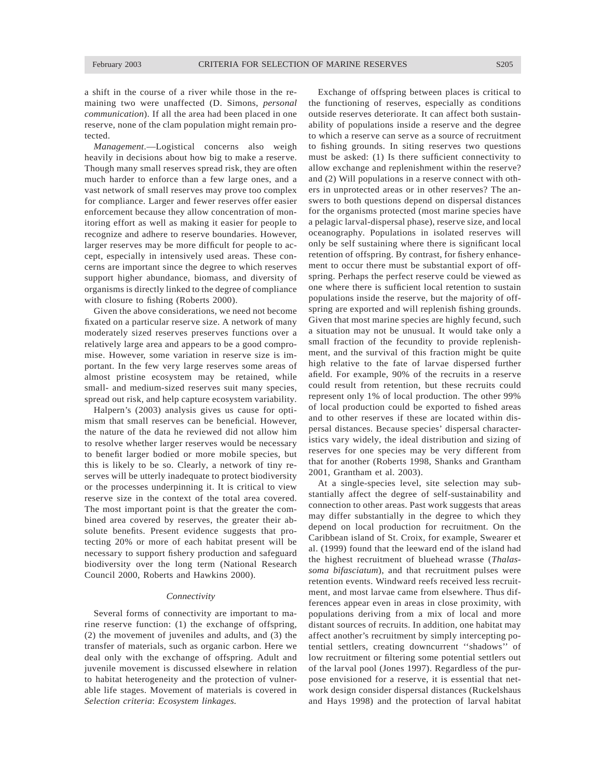tected. *Management*.—Logistical concerns also weigh heavily in decisions about how big to make a reserve. Though many small reserves spread risk, they are often much harder to enforce than a few large ones, and a vast network of small reserves may prove too complex for compliance. Larger and fewer reserves offer easier enforcement because they allow concentration of monitoring effort as well as making it easier for people to recognize and adhere to reserve boundaries. However, larger reserves may be more difficult for people to accept, especially in intensively used areas. These concerns are important since the degree to which reserves support higher abundance, biomass, and diversity of organisms is directly linked to the degree of compliance with closure to fishing (Roberts 2000).

reserve, none of the clam population might remain pro-

Given the above considerations, we need not become fixated on a particular reserve size. A network of many moderately sized reserves preserves functions over a relatively large area and appears to be a good compromise. However, some variation in reserve size is important. In the few very large reserves some areas of almost pristine ecosystem may be retained, while small- and medium-sized reserves suit many species, spread out risk, and help capture ecosystem variability.

Halpern's (2003) analysis gives us cause for optimism that small reserves can be beneficial. However, the nature of the data he reviewed did not allow him to resolve whether larger reserves would be necessary to benefit larger bodied or more mobile species, but this is likely to be so. Clearly, a network of tiny reserves will be utterly inadequate to protect biodiversity or the processes underpinning it. It is critical to view reserve size in the context of the total area covered. The most important point is that the greater the combined area covered by reserves, the greater their absolute benefits. Present evidence suggests that protecting 20% or more of each habitat present will be necessary to support fishery production and safeguard biodiversity over the long term (National Research Council 2000, Roberts and Hawkins 2000).

#### *Connectivity*

Several forms of connectivity are important to marine reserve function: (1) the exchange of offspring, (2) the movement of juveniles and adults, and (3) the transfer of materials, such as organic carbon. Here we deal only with the exchange of offspring. Adult and juvenile movement is discussed elsewhere in relation to habitat heterogeneity and the protection of vulnerable life stages. Movement of materials is covered in *Selection criteria*: *Ecosystem linkages.*

Exchange of offspring between places is critical to the functioning of reserves, especially as conditions outside reserves deteriorate. It can affect both sustainability of populations inside a reserve and the degree to which a reserve can serve as a source of recruitment to fishing grounds. In siting reserves two questions must be asked: (1) Is there sufficient connectivity to allow exchange and replenishment within the reserve? and (2) Will populations in a reserve connect with others in unprotected areas or in other reserves? The answers to both questions depend on dispersal distances for the organisms protected (most marine species have a pelagic larval-dispersal phase), reserve size, and local oceanography. Populations in isolated reserves will only be self sustaining where there is significant local retention of offspring. By contrast, for fishery enhancement to occur there must be substantial export of offspring. Perhaps the perfect reserve could be viewed as one where there is sufficient local retention to sustain populations inside the reserve, but the majority of offspring are exported and will replenish fishing grounds. Given that most marine species are highly fecund, such a situation may not be unusual. It would take only a small fraction of the fecundity to provide replenishment, and the survival of this fraction might be quite high relative to the fate of larvae dispersed further afield. For example, 90% of the recruits in a reserve could result from retention, but these recruits could represent only 1% of local production. The other 99% of local production could be exported to fished areas and to other reserves if these are located within dispersal distances. Because species' dispersal characteristics vary widely, the ideal distribution and sizing of reserves for one species may be very different from that for another (Roberts 1998, Shanks and Grantham 2001, Grantham et al. 2003).

At a single-species level, site selection may substantially affect the degree of self-sustainability and connection to other areas. Past work suggests that areas may differ substantially in the degree to which they depend on local production for recruitment. On the Caribbean island of St. Croix, for example, Swearer et al. (1999) found that the leeward end of the island had the highest recruitment of bluehead wrasse (*Thalassoma bifasciatum*), and that recruitment pulses were retention events. Windward reefs received less recruitment, and most larvae came from elsewhere. Thus differences appear even in areas in close proximity, with populations deriving from a mix of local and more distant sources of recruits. In addition, one habitat may affect another's recruitment by simply intercepting potential settlers, creating downcurrent ''shadows'' of low recruitment or filtering some potential settlers out of the larval pool (Jones 1997). Regardless of the purpose envisioned for a reserve, it is essential that network design consider dispersal distances (Ruckelshaus and Hays 1998) and the protection of larval habitat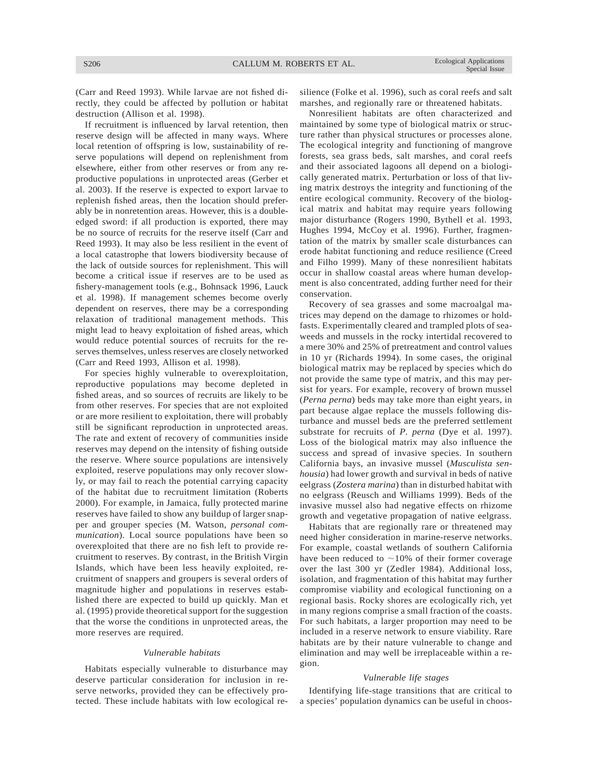(Carr and Reed 1993). While larvae are not fished directly, they could be affected by pollution or habitat destruction (Allison et al. 1998).

If recruitment is influenced by larval retention, then reserve design will be affected in many ways. Where local retention of offspring is low, sustainability of reserve populations will depend on replenishment from elsewhere, either from other reserves or from any reproductive populations in unprotected areas (Gerber et al. 2003). If the reserve is expected to export larvae to replenish fished areas, then the location should preferably be in nonretention areas. However, this is a doubleedged sword: if all production is exported, there may be no source of recruits for the reserve itself (Carr and Reed 1993). It may also be less resilient in the event of a local catastrophe that lowers biodiversity because of the lack of outside sources for replenishment. This will become a critical issue if reserves are to be used as fishery-management tools (e.g., Bohnsack 1996, Lauck et al. 1998). If management schemes become overly dependent on reserves, there may be a corresponding relaxation of traditional management methods. This might lead to heavy exploitation of fished areas, which would reduce potential sources of recruits for the reserves themselves, unless reserves are closely networked (Carr and Reed 1993, Allison et al. 1998).

For species highly vulnerable to overexploitation, reproductive populations may become depleted in fished areas, and so sources of recruits are likely to be from other reserves. For species that are not exploited or are more resilient to exploitation, there will probably still be significant reproduction in unprotected areas. The rate and extent of recovery of communities inside reserves may depend on the intensity of fishing outside the reserve. Where source populations are intensively exploited, reserve populations may only recover slowly, or may fail to reach the potential carrying capacity of the habitat due to recruitment limitation (Roberts 2000). For example, in Jamaica, fully protected marine reserves have failed to show any buildup of larger snapper and grouper species (M. Watson, *personal communication*). Local source populations have been so overexploited that there are no fish left to provide recruitment to reserves. By contrast, in the British Virgin Islands, which have been less heavily exploited, recruitment of snappers and groupers is several orders of magnitude higher and populations in reserves established there are expected to build up quickly. Man et al. (1995) provide theoretical support for the suggestion that the worse the conditions in unprotected areas, the more reserves are required.

### *Vulnerable habitats*

Habitats especially vulnerable to disturbance may deserve particular consideration for inclusion in reserve networks, provided they can be effectively protected. These include habitats with low ecological re-

silience (Folke et al. 1996), such as coral reefs and salt marshes, and regionally rare or threatened habitats.

Nonresilient habitats are often characterized and maintained by some type of biological matrix or structure rather than physical structures or processes alone. The ecological integrity and functioning of mangrove forests, sea grass beds, salt marshes, and coral reefs and their associated lagoons all depend on a biologically generated matrix. Perturbation or loss of that living matrix destroys the integrity and functioning of the entire ecological community. Recovery of the biological matrix and habitat may require years following major disturbance (Rogers 1990, Bythell et al. 1993, Hughes 1994, McCoy et al. 1996). Further, fragmentation of the matrix by smaller scale disturbances can erode habitat functioning and reduce resilience (Creed and Filho 1999). Many of these nonresilient habitats occur in shallow coastal areas where human development is also concentrated, adding further need for their conservation.

Recovery of sea grasses and some macroalgal matrices may depend on the damage to rhizomes or holdfasts. Experimentally cleared and trampled plots of seaweeds and mussels in the rocky intertidal recovered to a mere 30% and 25% of pretreatment and control values in 10 yr (Richards 1994). In some cases, the original biological matrix may be replaced by species which do not provide the same type of matrix, and this may persist for years. For example, recovery of brown mussel (*Perna perna*) beds may take more than eight years, in part because algae replace the mussels following disturbance and mussel beds are the preferred settlement substrate for recruits of *P. perna* (Dye et al. 1997). Loss of the biological matrix may also influence the success and spread of invasive species. In southern California bays, an invasive mussel (*Musculista senhousia*) had lower growth and survival in beds of native eelgrass (*Zostera marina*) than in disturbed habitat with no eelgrass (Reusch and Williams 1999). Beds of the invasive mussel also had negative effects on rhizome growth and vegetative propagation of native eelgrass.

Habitats that are regionally rare or threatened may need higher consideration in marine-reserve networks. For example, coastal wetlands of southern California have been reduced to  $\sim$ 10% of their former coverage over the last 300 yr (Zedler 1984). Additional loss, isolation, and fragmentation of this habitat may further compromise viability and ecological functioning on a regional basis. Rocky shores are ecologically rich, yet in many regions comprise a small fraction of the coasts. For such habitats, a larger proportion may need to be included in a reserve network to ensure viability. Rare habitats are by their nature vulnerable to change and elimination and may well be irreplaceable within a region.

#### *Vulnerable life stages*

Identifying life-stage transitions that are critical to a species' population dynamics can be useful in choos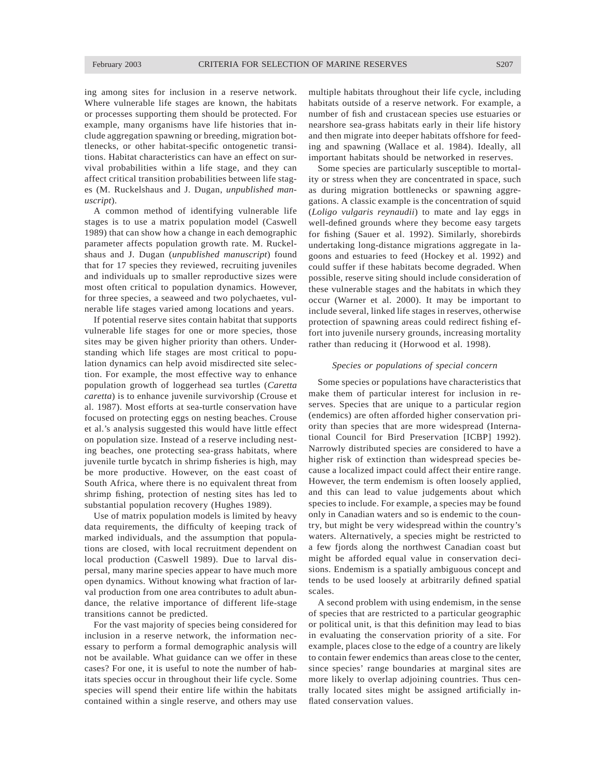ing among sites for inclusion in a reserve network. Where vulnerable life stages are known, the habitats or processes supporting them should be protected. For example, many organisms have life histories that include aggregation spawning or breeding, migration bottlenecks, or other habitat-specific ontogenetic transitions. Habitat characteristics can have an effect on survival probabilities within a life stage, and they can affect critical transition probabilities between life stages (M. Ruckelshaus and J. Dugan, *unpublished manuscript*).

A common method of identifying vulnerable life stages is to use a matrix population model (Caswell 1989) that can show how a change in each demographic parameter affects population growth rate. M. Ruckelshaus and J. Dugan (*unpublished manuscript*) found that for 17 species they reviewed, recruiting juveniles and individuals up to smaller reproductive sizes were most often critical to population dynamics. However, for three species, a seaweed and two polychaetes, vulnerable life stages varied among locations and years.

If potential reserve sites contain habitat that supports vulnerable life stages for one or more species, those sites may be given higher priority than others. Understanding which life stages are most critical to population dynamics can help avoid misdirected site selection. For example, the most effective way to enhance population growth of loggerhead sea turtles (*Caretta caretta*) is to enhance juvenile survivorship (Crouse et al. 1987). Most efforts at sea-turtle conservation have focused on protecting eggs on nesting beaches. Crouse et al.'s analysis suggested this would have little effect on population size. Instead of a reserve including nesting beaches, one protecting sea-grass habitats, where juvenile turtle bycatch in shrimp fisheries is high, may be more productive. However, on the east coast of South Africa, where there is no equivalent threat from shrimp fishing, protection of nesting sites has led to substantial population recovery (Hughes 1989).

Use of matrix population models is limited by heavy data requirements, the difficulty of keeping track of marked individuals, and the assumption that populations are closed, with local recruitment dependent on local production (Caswell 1989). Due to larval dispersal, many marine species appear to have much more open dynamics. Without knowing what fraction of larval production from one area contributes to adult abundance, the relative importance of different life-stage transitions cannot be predicted.

For the vast majority of species being considered for inclusion in a reserve network, the information necessary to perform a formal demographic analysis will not be available. What guidance can we offer in these cases? For one, it is useful to note the number of habitats species occur in throughout their life cycle. Some species will spend their entire life within the habitats contained within a single reserve, and others may use

multiple habitats throughout their life cycle, including habitats outside of a reserve network. For example, a number of fish and crustacean species use estuaries or nearshore sea-grass habitats early in their life history and then migrate into deeper habitats offshore for feeding and spawning (Wallace et al. 1984). Ideally, all important habitats should be networked in reserves.

Some species are particularly susceptible to mortality or stress when they are concentrated in space, such as during migration bottlenecks or spawning aggregations. A classic example is the concentration of squid (*Loligo vulgaris reynaudii*) to mate and lay eggs in well-defined grounds where they become easy targets for fishing (Sauer et al. 1992). Similarly, shorebirds undertaking long-distance migrations aggregate in lagoons and estuaries to feed (Hockey et al. 1992) and could suffer if these habitats become degraded. When possible, reserve siting should include consideration of these vulnerable stages and the habitats in which they occur (Warner et al. 2000). It may be important to include several, linked life stages in reserves, otherwise protection of spawning areas could redirect fishing effort into juvenile nursery grounds, increasing mortality rather than reducing it (Horwood et al. 1998).

#### *Species or populations of special concern*

Some species or populations have characteristics that make them of particular interest for inclusion in reserves. Species that are unique to a particular region (endemics) are often afforded higher conservation priority than species that are more widespread (International Council for Bird Preservation [ICBP] 1992). Narrowly distributed species are considered to have a higher risk of extinction than widespread species because a localized impact could affect their entire range. However, the term endemism is often loosely applied, and this can lead to value judgements about which species to include. For example, a species may be found only in Canadian waters and so is endemic to the country, but might be very widespread within the country's waters. Alternatively, a species might be restricted to a few fjords along the northwest Canadian coast but might be afforded equal value in conservation decisions. Endemism is a spatially ambiguous concept and tends to be used loosely at arbitrarily defined spatial scales.

A second problem with using endemism, in the sense of species that are restricted to a particular geographic or political unit, is that this definition may lead to bias in evaluating the conservation priority of a site. For example, places close to the edge of a country are likely to contain fewer endemics than areas close to the center, since species' range boundaries at marginal sites are more likely to overlap adjoining countries. Thus centrally located sites might be assigned artificially inflated conservation values.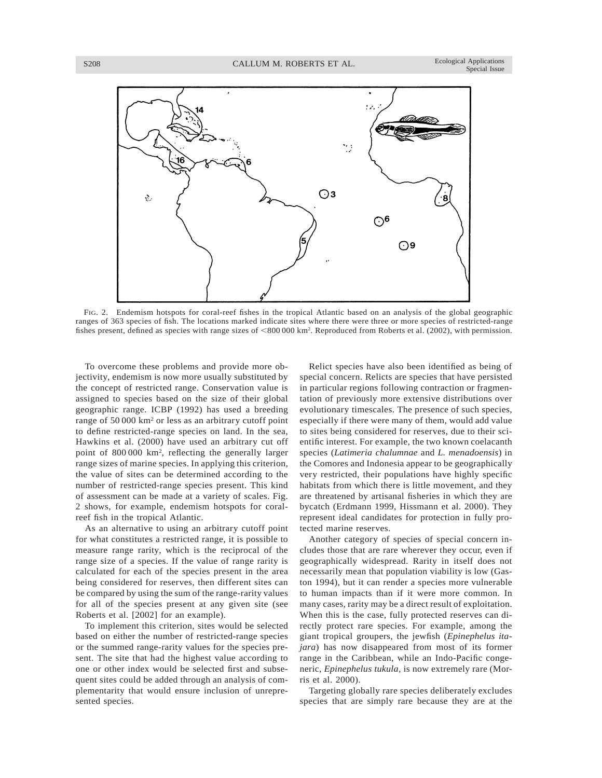S208 CALLUM M. ROBERTS ET AL. Ecological Applications

Special Issue



FIG. 2. Endemism hotspots for coral-reef fishes in the tropical Atlantic based on an analysis of the global geographic ranges of 363 species of fish. The locations marked indicate sites where there were three or more species of restricted-range fishes present, defined as species with range sizes of  $<800\,000$  km<sup>2</sup>. Reproduced from Roberts et al. (2002), with permission.

To overcome these problems and provide more objectivity, endemism is now more usually substituted by the concept of restricted range. Conservation value is assigned to species based on the size of their global geographic range. ICBP (1992) has used a breeding range of 50 000 km2 or less as an arbitrary cutoff point to define restricted-range species on land. In the sea, Hawkins et al. (2000) have used an arbitrary cut off point of 800 000 km2 , reflecting the generally larger range sizes of marine species. In applying this criterion, the value of sites can be determined according to the number of restricted-range species present. This kind of assessment can be made at a variety of scales. Fig. 2 shows, for example, endemism hotspots for coralreef fish in the tropical Atlantic.

As an alternative to using an arbitrary cutoff point for what constitutes a restricted range, it is possible to measure range rarity, which is the reciprocal of the range size of a species. If the value of range rarity is calculated for each of the species present in the area being considered for reserves, then different sites can be compared by using the sum of the range-rarity values for all of the species present at any given site (see Roberts et al. [2002] for an example).

To implement this criterion, sites would be selected based on either the number of restricted-range species or the summed range-rarity values for the species present. The site that had the highest value according to one or other index would be selected first and subsequent sites could be added through an analysis of complementarity that would ensure inclusion of unrepresented species.

Relict species have also been identified as being of special concern. Relicts are species that have persisted in particular regions following contraction or fragmentation of previously more extensive distributions over evolutionary timescales. The presence of such species, especially if there were many of them, would add value to sites being considered for reserves, due to their scientific interest. For example, the two known coelacanth species (*Latimeria chalumnae* and *L. menadoensis*) in the Comores and Indonesia appear to be geographically very restricted, their populations have highly specific habitats from which there is little movement, and they are threatened by artisanal fisheries in which they are bycatch (Erdmann 1999, Hissmann et al. 2000). They represent ideal candidates for protection in fully protected marine reserves.

Another category of species of special concern includes those that are rare wherever they occur, even if geographically widespread. Rarity in itself does not necessarily mean that population viability is low (Gaston 1994), but it can render a species more vulnerable to human impacts than if it were more common. In many cases, rarity may be a direct result of exploitation. When this is the case, fully protected reserves can directly protect rare species. For example, among the giant tropical groupers, the jewfish (*Epinephelus itajara*) has now disappeared from most of its former range in the Caribbean, while an Indo-Pacific congeneric, *Epinephelus tukula*, is now extremely rare (Morris et al. 2000).

Targeting globally rare species deliberately excludes species that are simply rare because they are at the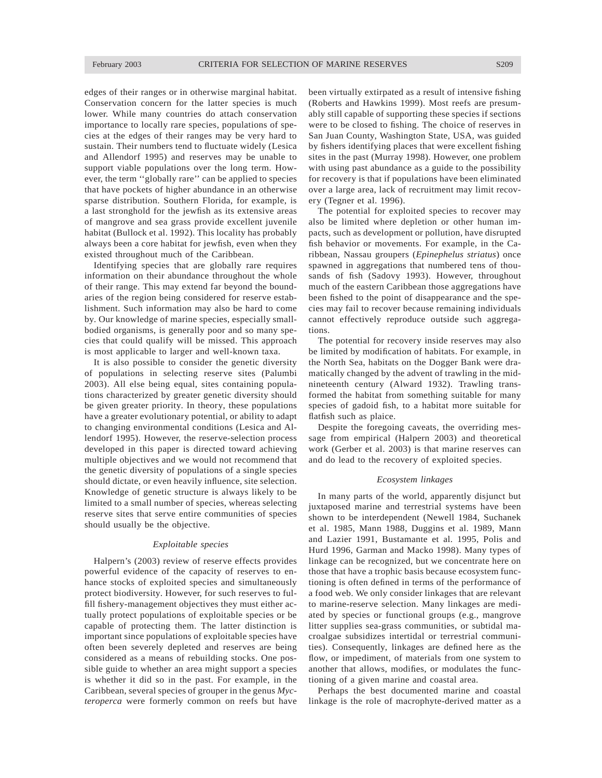edges of their ranges or in otherwise marginal habitat. Conservation concern for the latter species is much lower. While many countries do attach conservation importance to locally rare species, populations of species at the edges of their ranges may be very hard to sustain. Their numbers tend to fluctuate widely (Lesica and Allendorf 1995) and reserves may be unable to support viable populations over the long term. However, the term ''globally rare'' can be applied to species that have pockets of higher abundance in an otherwise sparse distribution. Southern Florida, for example, is a last stronghold for the jewfish as its extensive areas of mangrove and sea grass provide excellent juvenile habitat (Bullock et al. 1992). This locality has probably always been a core habitat for jewfish, even when they existed throughout much of the Caribbean.

Identifying species that are globally rare requires information on their abundance throughout the whole of their range. This may extend far beyond the boundaries of the region being considered for reserve establishment. Such information may also be hard to come by. Our knowledge of marine species, especially smallbodied organisms, is generally poor and so many species that could qualify will be missed. This approach is most applicable to larger and well-known taxa.

It is also possible to consider the genetic diversity of populations in selecting reserve sites (Palumbi 2003). All else being equal, sites containing populations characterized by greater genetic diversity should be given greater priority. In theory, these populations have a greater evolutionary potential, or ability to adapt to changing environmental conditions (Lesica and Allendorf 1995). However, the reserve-selection process developed in this paper is directed toward achieving multiple objectives and we would not recommend that the genetic diversity of populations of a single species should dictate, or even heavily influence, site selection. Knowledge of genetic structure is always likely to be limited to a small number of species, whereas selecting reserve sites that serve entire communities of species should usually be the objective.

# *Exploitable species*

Halpern's (2003) review of reserve effects provides powerful evidence of the capacity of reserves to enhance stocks of exploited species and simultaneously protect biodiversity. However, for such reserves to fulfill fishery-management objectives they must either actually protect populations of exploitable species or be capable of protecting them. The latter distinction is important since populations of exploitable species have often been severely depleted and reserves are being considered as a means of rebuilding stocks. One possible guide to whether an area might support a species is whether it did so in the past. For example, in the Caribbean, several species of grouper in the genus *Mycteroperca* were formerly common on reefs but have

been virtually extirpated as a result of intensive fishing (Roberts and Hawkins 1999). Most reefs are presumably still capable of supporting these species if sections were to be closed to fishing. The choice of reserves in San Juan County, Washington State, USA, was guided by fishers identifying places that were excellent fishing sites in the past (Murray 1998). However, one problem with using past abundance as a guide to the possibility for recovery is that if populations have been eliminated over a large area, lack of recruitment may limit recovery (Tegner et al. 1996).

The potential for exploited species to recover may also be limited where depletion or other human impacts, such as development or pollution, have disrupted fish behavior or movements. For example, in the Caribbean, Nassau groupers (*Epinephelus striatus*) once spawned in aggregations that numbered tens of thousands of fish (Sadovy 1993). However, throughout much of the eastern Caribbean those aggregations have been fished to the point of disappearance and the species may fail to recover because remaining individuals cannot effectively reproduce outside such aggregations.

The potential for recovery inside reserves may also be limited by modification of habitats. For example, in the North Sea, habitats on the Dogger Bank were dramatically changed by the advent of trawling in the midnineteenth century (Alward 1932). Trawling transformed the habitat from something suitable for many species of gadoid fish, to a habitat more suitable for flatfish such as plaice.

Despite the foregoing caveats, the overriding message from empirical (Halpern 2003) and theoretical work (Gerber et al. 2003) is that marine reserves can and do lead to the recovery of exploited species.

#### *Ecosystem linkages*

In many parts of the world, apparently disjunct but juxtaposed marine and terrestrial systems have been shown to be interdependent (Newell 1984, Suchanek et al. 1985, Mann 1988, Duggins et al. 1989, Mann and Lazier 1991, Bustamante et al. 1995, Polis and Hurd 1996, Garman and Macko 1998). Many types of linkage can be recognized, but we concentrate here on those that have a trophic basis because ecosystem functioning is often defined in terms of the performance of a food web. We only consider linkages that are relevant to marine-reserve selection. Many linkages are mediated by species or functional groups (e.g., mangrove litter supplies sea-grass communities, or subtidal macroalgae subsidizes intertidal or terrestrial communities). Consequently, linkages are defined here as the flow, or impediment, of materials from one system to another that allows, modifies, or modulates the functioning of a given marine and coastal area.

Perhaps the best documented marine and coastal linkage is the role of macrophyte-derived matter as a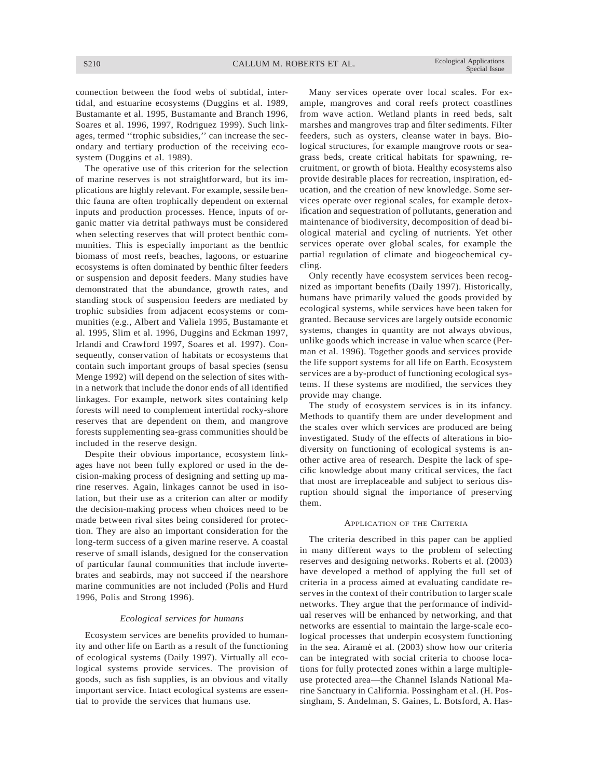connection between the food webs of subtidal, intertidal, and estuarine ecosystems (Duggins et al. 1989, Bustamante et al. 1995, Bustamante and Branch 1996, Soares et al. 1996, 1997, Rodriguez 1999). Such linkages, termed ''trophic subsidies,'' can increase the secondary and tertiary production of the receiving ecosystem (Duggins et al. 1989).

The operative use of this criterion for the selection of marine reserves is not straightforward, but its implications are highly relevant. For example, sessile benthic fauna are often trophically dependent on external inputs and production processes. Hence, inputs of organic matter via detrital pathways must be considered when selecting reserves that will protect benthic communities. This is especially important as the benthic biomass of most reefs, beaches, lagoons, or estuarine ecosystems is often dominated by benthic filter feeders or suspension and deposit feeders. Many studies have demonstrated that the abundance, growth rates, and standing stock of suspension feeders are mediated by trophic subsidies from adjacent ecosystems or communities (e.g., Albert and Valiela 1995, Bustamante et al. 1995, Slim et al. 1996, Duggins and Eckman 1997, Irlandi and Crawford 1997, Soares et al. 1997). Consequently, conservation of habitats or ecosystems that contain such important groups of basal species (sensu Menge 1992) will depend on the selection of sites within a network that include the donor ends of all identified linkages. For example, network sites containing kelp forests will need to complement intertidal rocky-shore reserves that are dependent on them, and mangrove forests supplementing sea-grass communities should be included in the reserve design.

Despite their obvious importance, ecosystem linkages have not been fully explored or used in the decision-making process of designing and setting up marine reserves. Again, linkages cannot be used in isolation, but their use as a criterion can alter or modify the decision-making process when choices need to be made between rival sites being considered for protection. They are also an important consideration for the long-term success of a given marine reserve. A coastal reserve of small islands, designed for the conservation of particular faunal communities that include invertebrates and seabirds, may not succeed if the nearshore marine communities are not included (Polis and Hurd 1996, Polis and Strong 1996).

#### *Ecological services for humans*

Ecosystem services are benefits provided to humanity and other life on Earth as a result of the functioning of ecological systems (Daily 1997). Virtually all ecological systems provide services. The provision of goods, such as fish supplies, is an obvious and vitally important service. Intact ecological systems are essential to provide the services that humans use.

Many services operate over local scales. For example, mangroves and coral reefs protect coastlines from wave action. Wetland plants in reed beds, salt marshes and mangroves trap and filter sediments. Filter feeders, such as oysters, cleanse water in bays. Biological structures, for example mangrove roots or seagrass beds, create critical habitats for spawning, recruitment, or growth of biota. Healthy ecosystems also provide desirable places for recreation, inspiration, education, and the creation of new knowledge. Some services operate over regional scales, for example detoxification and sequestration of pollutants, generation and maintenance of biodiversity, decomposition of dead biological material and cycling of nutrients. Yet other services operate over global scales, for example the partial regulation of climate and biogeochemical cycling.

Only recently have ecosystem services been recognized as important benefits (Daily 1997). Historically, humans have primarily valued the goods provided by ecological systems, while services have been taken for granted. Because services are largely outside economic systems, changes in quantity are not always obvious, unlike goods which increase in value when scarce (Perman et al. 1996). Together goods and services provide the life support systems for all life on Earth. Ecosystem services are a by-product of functioning ecological systems. If these systems are modified, the services they provide may change.

The study of ecosystem services is in its infancy. Methods to quantify them are under development and the scales over which services are produced are being investigated. Study of the effects of alterations in biodiversity on functioning of ecological systems is another active area of research. Despite the lack of specific knowledge about many critical services, the fact that most are irreplaceable and subject to serious disruption should signal the importance of preserving them.

#### APPLICATION OF THE CRITERIA

The criteria described in this paper can be applied in many different ways to the problem of selecting reserves and designing networks. Roberts et al. (2003) have developed a method of applying the full set of criteria in a process aimed at evaluating candidate reserves in the context of their contribution to larger scale networks. They argue that the performance of individual reserves will be enhanced by networking, and that networks are essential to maintain the large-scale ecological processes that underpin ecosystem functioning in the sea. Airamé et al. (2003) show how our criteria can be integrated with social criteria to choose locations for fully protected zones within a large multipleuse protected area—the Channel Islands National Marine Sanctuary in California. Possingham et al. (H. Possingham, S. Andelman, S. Gaines, L. Botsford, A. Has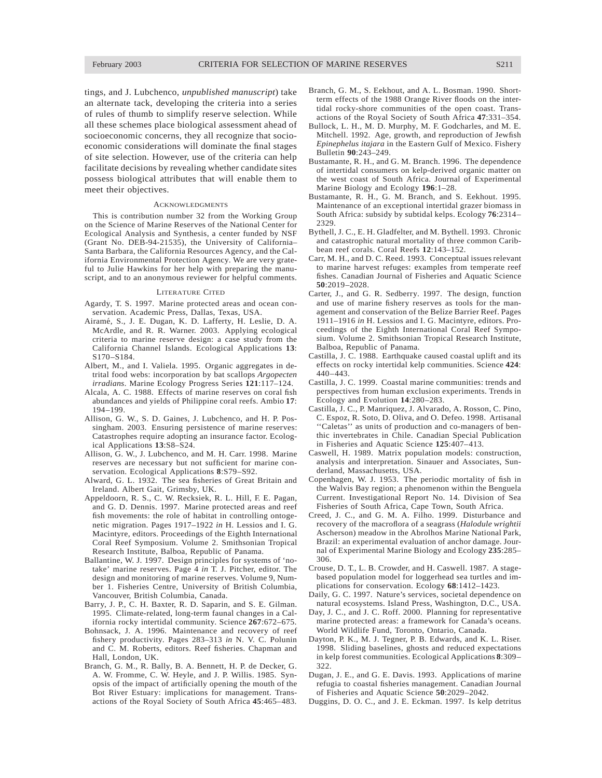tings, and J. Lubchenco, *unpublished manuscript*) take an alternate tack, developing the criteria into a series of rules of thumb to simplify reserve selection. While all these schemes place biological assessment ahead of socioeconomic concerns, they all recognize that socioeconomic considerations will dominate the final stages of site selection. However, use of the criteria can help facilitate decisions by revealing whether candidate sites possess biological attributes that will enable them to meet their objectives.

#### **ACKNOWLEDGMENTS**

This is contribution number 32 from the Working Group on the Science of Marine Reserves of the National Center for Ecological Analysis and Synthesis, a center funded by NSF (Grant No. DEB-94-21535), the University of California– Santa Barbara, the California Resources Agency, and the California Environmental Protection Agency. We are very grateful to Julie Hawkins for her help with preparing the manuscript, and to an anonymous reviewer for helpful comments.

#### LITERATURE CITED

- Agardy, T. S. 1997. Marine protected areas and ocean conservation. Academic Press, Dallas, Texas, USA.
- Airamé, S., J. E. Dugan, K. D. Lafferty, H. Leslie, D. A. McArdle, and R. R. Warner. 2003. Applying ecological criteria to marine reserve design: a case study from the California Channel Islands. Ecological Applications **13**: S170–S184.
- Albert, M., and I. Valiela. 1995. Organic aggregates in detrital food webs: incorporation by bat scallops *Argopecten irradians*. Marine Ecology Progress Series **121**:117–124.
- Alcala, A. C. 1988. Effects of marine reserves on coral fish abundances and yields of Philippine coral reefs. Ambio **17**: 194–199.
- Allison, G. W., S. D. Gaines, J. Lubchenco, and H. P. Possingham. 2003. Ensuring persistence of marine reserves: Catastrophes require adopting an insurance factor. Ecological Applications **13**:S8–S24.
- Allison, G. W., J. Lubchenco, and M. H. Carr. 1998. Marine reserves are necessary but not sufficient for marine conservation. Ecological Applications **8**:S79–S92.
- Alward, G. L. 1932. The sea fisheries of Great Britain and Ireland. Albert Gait, Grimsby, UK.
- Appeldoorn, R. S., C. W. Recksiek, R. L. Hill, F. E. Pagan, and G. D. Dennis. 1997. Marine protected areas and reef fish movements: the role of habitat in controlling ontogenetic migration. Pages 1917–1922 *in* H. Lessios and I. G. Macintyre, editors. Proceedings of the Eighth International Coral Reef Symposium. Volume 2. Smithsonian Tropical Research Institute, Balboa, Republic of Panama.
- Ballantine, W. J. 1997. Design principles for systems of 'notake' marine reserves. Page 4 *in* T. J. Pitcher, editor. The design and monitoring of marine reserves. Volume 9, Number 1. Fisheries Centre, University of British Columbia, Vancouver, British Columbia, Canada.
- Barry, J. P., C. H. Baxter, R. D. Saparin, and S. E. Gilman. 1995. Climate-related, long-term faunal changes in a California rocky intertidal community. Science **267**:672–675.
- Bohnsack, J. A. 1996. Maintenance and recovery of reef fishery productivity. Pages 283–313 *in* N. V. C. Polunin and C. M. Roberts, editors. Reef fisheries. Chapman and Hall, London, UK.
- Branch, G. M., R. Bally, B. A. Bennett, H. P. de Decker, G. A. W. Fromme, C. W. Heyle, and J. P. Willis. 1985. Synopsis of the impact of artificially opening the mouth of the Bot River Estuary: implications for management. Transactions of the Royal Society of South Africa **45**:465–483.
- Branch, G. M., S. Eekhout, and A. L. Bosman. 1990. Shortterm effects of the 1988 Orange River floods on the intertidal rocky-shore communities of the open coast. Transactions of the Royal Society of South Africa **47**:331–354.
- Bullock, L. H., M. D. Murphy, M. F. Godcharles, and M. E. Mitchell. 1992. Age, growth, and reproduction of Jewfish *Epinephelus itajara* in the Eastern Gulf of Mexico. Fishery Bulletin **90**:243–249.
- Bustamante, R. H., and G. M. Branch. 1996. The dependence of intertidal consumers on kelp-derived organic matter on the west coast of South Africa. Journal of Experimental Marine Biology and Ecology **196**:1–28.
- Bustamante, R. H., G. M. Branch, and S. Eekhout. 1995. Maintenance of an exceptional intertidal grazer biomass in South Africa: subsidy by subtidal kelps. Ecology **76**:2314– 2329.
- Bythell, J. C., E. H. Gladfelter, and M. Bythell. 1993. Chronic and catastrophic natural mortality of three common Caribbean reef corals. Coral Reefs **12**:143–152.
- Carr, M. H., and D. C. Reed. 1993. Conceptual issues relevant to marine harvest refuges: examples from temperate reef fishes. Canadian Journal of Fisheries and Aquatic Science **50**:2019–2028.
- Carter, J., and G. R. Sedberry. 1997. The design, function and use of marine fishery reserves as tools for the management and conservation of the Belize Barrier Reef. Pages 1911–1916 *in* H. Lessios and I. G. Macintyre, editors. Proceedings of the Eighth International Coral Reef Symposium. Volume 2. Smithsonian Tropical Research Institute, Balboa, Republic of Panama.
- Castilla, J. C. 1988. Earthquake caused coastal uplift and its effects on rocky intertidal kelp communities. Science **424**: 440–443.
- Castilla, J. C. 1999. Coastal marine communities: trends and perspectives from human exclusion experiments. Trends in Ecology and Evolution **14**:280–283.
- Castilla, J. C., P. Manriquez, J. Alvarado, A. Rosson, C. Pino, C. Espoz, R. Soto, D. Oliva, and O. Defeo. 1998. Artisanal ''Caletas'' as units of production and co-managers of benthic invertebrates in Chile. Canadian Special Publication in Fisheries and Aquatic Science **125**:407–413.
- Caswell, H. 1989. Matrix population models: construction, analysis and interpretation. Sinauer and Associates, Sunderland, Massachusetts, USA.
- Copenhagen, W. J. 1953. The periodic mortality of fish in the Walvis Bay region; a phenomenon within the Benguela Current. Investigational Report No. 14. Division of Sea Fisheries of South Africa, Cape Town, South Africa.
- Creed, J. C., and G. M. A. Filho. 1999. Disturbance and recovery of the macroflora of a seagrass (*Halodule wrightii* Ascherson) meadow in the Abrolhos Marine National Park, Brazil: an experimental evaluation of anchor damage. Journal of Experimental Marine Biology and Ecology **235**:285– 306.
- Crouse, D. T., L. B. Crowder, and H. Caswell. 1987. A stagebased population model for loggerhead sea turtles and implications for conservation. Ecology **68**:1412–1423.
- Daily, G. C. 1997. Nature's services, societal dependence on natural ecosystems. Island Press, Washington, D.C., USA.
- Day, J. C., and J. C. Roff. 2000. Planning for representative marine protected areas: a framework for Canada's oceans. World Wildlife Fund, Toronto, Ontario, Canada.
- Dayton, P. K., M. J. Tegner, P. B. Edwards, and K. L. Riser. 1998. Sliding baselines, ghosts and reduced expectations in kelp forest communities. Ecological Applications **8**:309– 322.
- Dugan, J. E., and G. E. Davis. 1993. Applications of marine refugia to coastal fisheries management. Canadian Journal of Fisheries and Aquatic Science **50**:2029–2042.
- Duggins, D. O. C., and J. E. Eckman. 1997. Is kelp detritus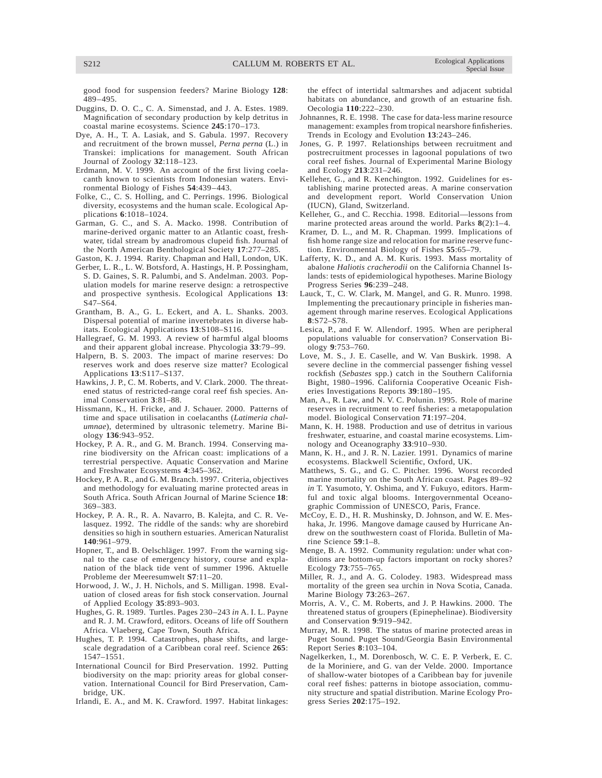good food for suspension feeders? Marine Biology **128**: 489–495.

- Duggins, D. O. C., C. A. Simenstad, and J. A. Estes. 1989. Magnification of secondary production by kelp detritus in coastal marine ecosystems. Science **245**:170–173.
- Dye, A. H., T. A. Lasiak, and S. Gabula. 1997. Recovery and recruitment of the brown mussel, *Perna perna* (L.) in Transkei: implications for management. South African Journal of Zoology **32**:118–123.
- Erdmann, M. V. 1999. An account of the first living coelacanth known to scientists from Indonesian waters. Environmental Biology of Fishes **54**:439–443.
- Folke, C., C. S. Holling, and C. Perrings. 1996. Biological diversity, ecosystems and the human scale. Ecological Applications **6**:1018–1024.
- Garman, G. C., and S. A. Macko. 1998. Contribution of marine-derived organic matter to an Atlantic coast, freshwater, tidal stream by anadromous clupeid fish. Journal of the North American Benthological Society **17**:277–285.

Gaston, K. J. 1994. Rarity. Chapman and Hall, London, UK.

- Gerber, L. R., L. W. Botsford, A. Hastings, H. P. Possingham, S. D. Gaines, S. R. Palumbi, and S. Andelman. 2003. Population models for marine reserve design: a retrospective and prospective synthesis. Ecological Applications **13**: S47–S64.
- Grantham, B. A., G. L. Eckert, and A. L. Shanks. 2003. Dispersal potential of marine invertebrates in diverse habitats. Ecological Applications **13**:S108–S116.
- Hallegraef, G. M. 1993. A review of harmful algal blooms and their apparent global increase. Phycologia **33**:79–99.
- Halpern, B. S. 2003. The impact of marine reserves: Do reserves work and does reserve size matter? Ecological Applications **13**:S117–S137.
- Hawkins, J. P., C. M. Roberts, and V. Clark. 2000. The threatened status of restricted-range coral reef fish species. Animal Conservation **3**:81–88.
- Hissmann, K., H. Fricke, and J. Schauer. 2000. Patterns of time and space utilisation in coelacanths (*Latimeria chalumnae*), determined by ultrasonic telemetry. Marine Biology **136**:943–952.
- Hockey, P. A. R., and G. M. Branch. 1994. Conserving marine biodiversity on the African coast: implications of a terrestrial perspective. Aquatic Conservation and Marine and Freshwater Ecosystems **4**:345–362.
- Hockey, P. A. R., and G. M. Branch. 1997. Criteria, objectives and methodology for evaluating marine protected areas in South Africa. South African Journal of Marine Science **18**: 369–383.
- Hockey, P. A. R., R. A. Navarro, B. Kalejta, and C. R. Velasquez. 1992. The riddle of the sands: why are shorebird densities so high in southern estuaries. American Naturalist **140**:961–979.
- Hopner, T., and B. Oelschläger. 1997. From the warning signal to the case of emergency history, course and explanation of the black tide vent of summer 1996. Aktuelle Probleme der Meeresumwelt **S7**:11–20.
- Horwood, J. W., J. H. Nichols, and S. Milligan. 1998. Evaluation of closed areas for fish stock conservation. Journal of Applied Ecology **35**:893–903.
- Hughes, G. R. 1989. Turtles. Pages 230–243 *in* A. I. L. Payne and R. J. M. Crawford, editors. Oceans of life off Southern Africa. Vlaeberg, Cape Town, South Africa.
- Hughes, T. P. 1994. Catastrophes, phase shifts, and largescale degradation of a Caribbean coral reef. Science **265**: 1547–1551.
- International Council for Bird Preservation. 1992. Putting biodiversity on the map: priority areas for global conservation. International Council for Bird Preservation, Cambridge, UK.
- Irlandi, E. A., and M. K. Crawford. 1997. Habitat linkages:

the effect of intertidal saltmarshes and adjacent subtidal habitats on abundance, and growth of an estuarine fish. Oecologia **110**:222–230.

- Johnannes, R. E. 1998. The case for data-less marine resource management: examples from tropical nearshore finfisheries. Trends in Ecology and Evolution **13**:243–246.
- Jones, G. P. 1997. Relationships between recruitment and postrecruitment processes in lagoonal populations of two coral reef fishes. Journal of Experimental Marine Biology and Ecology **213**:231–246.
- Kelleher, G., and R. Kenchington. 1992. Guidelines for establishing marine protected areas. A marine conservation and development report. World Conservation Union (IUCN), Gland, Switzerland.
- Kelleher, G., and C. Recchia. 1998. Editorial—lessons from marine protected areas around the world. Parks **8**(2):1–4.
- Kramer, D. L., and M. R. Chapman. 1999. Implications of fish home range size and relocation for marine reserve function. Environmental Biology of Fishes **55**:65–79.
- Lafferty, K. D., and A. M. Kuris. 1993. Mass mortality of abalone *Haliotis cracherodii* on the California Channel Islands: tests of epidemiological hypotheses. Marine Biology Progress Series **96**:239–248.
- Lauck, T., C. W. Clark, M. Mangel, and G. R. Munro. 1998. Implementing the precautionary principle in fisheries management through marine reserves. Ecological Applications **8**:S72–S78.
- Lesica, P., and F. W. Allendorf. 1995. When are peripheral populations valuable for conservation? Conservation Biology **9**:753–760.
- Love, M. S., J. E. Caselle, and W. Van Buskirk. 1998. A severe decline in the commercial passenger fishing vessel rockfish (*Sebastes* spp.) catch in the Southern California Bight, 1980–1996. California Cooperative Oceanic Fisheries Investigations Reports **39**:180–195.
- Man, A., R. Law, and N. V. C. Polunin. 1995. Role of marine reserves in recruitment to reef fisheries: a metapopulation model. Biological Conservation **71**:197–204.
- Mann, K. H. 1988. Production and use of detritus in various freshwater, estuarine, and coastal marine ecosystems. Limnology and Oceanography **33**:910–930.
- Mann, K. H., and J. R. N. Lazier. 1991. Dynamics of marine ecosystems. Blackwell Scientific, Oxford, UK.
- Matthews, S. G., and G. C. Pitcher. 1996. Worst recorded marine mortality on the South African coast. Pages 89–92 *in* T. Yasumoto, Y. Oshima, and Y. Fukuyo, editors. Harmful and toxic algal blooms. Intergovernmental Oceanographic Commission of UNESCO, Paris, France.
- McCoy, E. D., H. R. Mushinsky, D. Johnson, and W. E. Meshaka, Jr. 1996. Mangove damage caused by Hurricane Andrew on the southwestern coast of Florida. Bulletin of Marine Science **59**:1–8.
- Menge, B. A. 1992. Community regulation: under what conditions are bottom-up factors important on rocky shores? Ecology **73**:755–765.
- Miller, R. J., and A. G. Colodey. 1983. Widespread mass mortality of the green sea urchin in Nova Scotia, Canada. Marine Biology **73**:263–267.
- Morris, A. V., C. M. Roberts, and J. P. Hawkins. 2000. The threatened status of groupers (Epinephelinae). Biodiversity and Conservation **9**:919–942.
- Murray, M. R. 1998. The status of marine protected areas in Puget Sound. Puget Sound/Georgia Basin Environmental Report Series **8**:103–104.
- Nagelkerken, I., M. Dorenbosch, W. C. E. P. Verberk, E. C. de la Moriniere, and G. van der Velde. 2000. Importance of shallow-water biotopes of a Caribbean bay for juvenile coral reef fishes: patterns in biotope association, community structure and spatial distribution. Marine Ecology Progress Series **202**:175–192.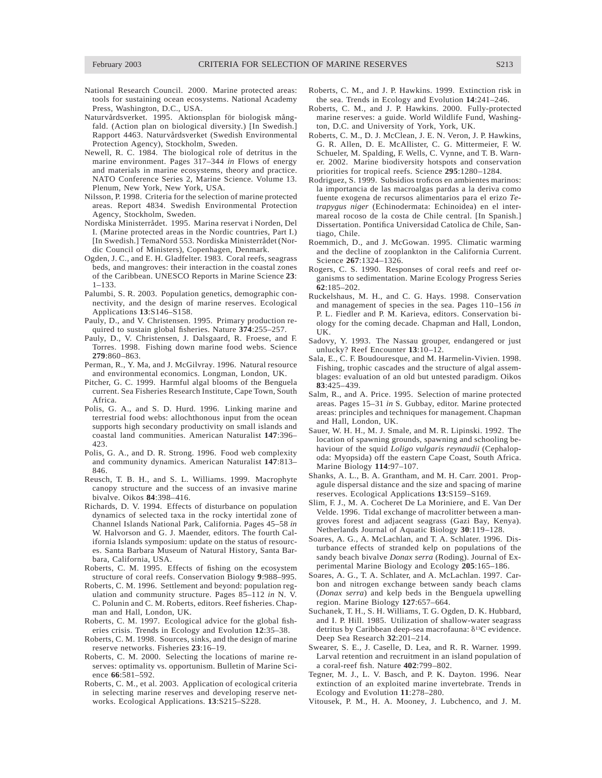- National Research Council. 2000. Marine protected areas: tools for sustaining ocean ecosystems. National Academy Press, Washington, D.C., USA.
- Naturvårdsverket. 1995. Aktionsplan för biologisk mångfald. (Action plan on biological diversity.) [In Swedish.] Rapport 4463. Naturvårdsverket (Swedish Environmental Protection Agency), Stockholm, Sweden.
- Newell, R. C. 1984. The biological role of detritus in the marine environment. Pages 317–344 *in* Flows of energy and materials in marine ecosystems, theory and practice. NATO Conference Series 2, Marine Science. Volume 13. Plenum, New York, New York, USA.
- Nilsson, P. 1998. Criteria for the selection of marine protected areas. Report 4834. Swedish Environmental Protection Agency, Stockholm, Sweden.
- Nordiska Ministerrådet. 1995. Marina reservat i Norden, Del I. (Marine protected areas in the Nordic countries, Part I.) [In Swedish.] TemaNord 553. Nordiska Ministerrådet (Nordic Council of Ministers), Copenhagen, Denmark.
- Ogden, J. C., and E. H. Gladfelter. 1983. Coral reefs, seagrass beds, and mangroves: their interaction in the coastal zones of the Caribbean. UNESCO Reports in Marine Science **23**: 1–133.
- Palumbi, S. R. 2003. Population genetics, demographic connectivity, and the design of marine reserves. Ecological Applications **13**:S146–S158.
- Pauly, D., and V. Christensen. 1995. Primary production required to sustain global fisheries. Nature **374**:255–257.
- Pauly, D., V. Christensen, J. Dalsgaard, R. Froese, and F. Torres. 1998. Fishing down marine food webs. Science **279**:860–863.
- Perman, R., Y. Ma, and J. McGilvray. 1996. Natural resource and environmental economics. Longman, London, UK.
- Pitcher, G. C. 1999. Harmful algal blooms of the Benguela current. Sea Fisheries Research Institute, Cape Town, South Africa.
- Polis, G. A., and S. D. Hurd. 1996. Linking marine and terrestrial food webs: allochthonous input from the ocean supports high secondary productivity on small islands and coastal land communities. American Naturalist **147**:396– 423.
- Polis, G. A., and D. R. Strong. 1996. Food web complexity and community dynamics. American Naturalist **147**:813– 846.
- Reusch, T. B. H., and S. L. Williams. 1999. Macrophyte canopy structure and the success of an invasive marine bivalve. Oikos **84**:398–416.
- Richards, D. V. 1994. Effects of disturbance on population dynamics of selected taxa in the rocky intertidal zone of Channel Islands National Park, California. Pages 45–58 *in* W. Halvorson and G. J. Maender, editors. The fourth California Islands symposium: update on the status of resources. Santa Barbara Museum of Natural History, Santa Barbara, California, USA.
- Roberts, C. M. 1995. Effects of fishing on the ecosystem structure of coral reefs. Conservation Biology **9**:988–995.
- Roberts, C. M. 1996. Settlement and beyond: population regulation and community structure. Pages 85–112 *in* N. V. C. Polunin and C. M. Roberts, editors. Reef fisheries. Chapman and Hall, London, UK.
- Roberts, C. M. 1997. Ecological advice for the global fisheries crisis. Trends in Ecology and Evolution **12**:35–38.
- Roberts, C. M. 1998. Sources, sinks, and the design of marine reserve networks. Fisheries **23**:16–19.
- Roberts, C. M. 2000. Selecting the locations of marine reserves: optimality vs. opportunism. Bulletin of Marine Science **66**:581–592.
- Roberts, C. M., et al. 2003. Application of ecological criteria in selecting marine reserves and developing reserve networks. Ecological Applications. **13**:S215–S228.

Roberts, C. M., and J. P. Hawkins. 1999. Extinction risk in the sea. Trends in Ecology and Evolution **14**:241–246.

- Roberts, C. M., and J. P. Hawkins. 2000. Fully-protected marine reserves: a guide. World Wildlife Fund, Washington, D.C. and University of York, York, UK.
- Roberts, C. M., D. J. McClean, J. E. N. Veron, J. P. Hawkins, G. R. Allen, D. E. McAllister, C. G. Mittermeier, F. W. Schueler, M. Spalding, F. Wells, C. Vynne, and T. B. Warner. 2002. Marine biodiversity hotspots and conservation priorities for tropical reefs. Science **295**:1280–1284.
- Rodriguez, S. 1999. Subsidios troficos en ambientes marinos: la importancia de las macroalgas pardas a la deriva como fuente exogena de recursos alimentarios para el erizo *Tetrapygus niger* (Echinodermata: Echinoidea) en el intermareal rocoso de la costa de Chile central. [In Spanish.] Dissertation. Pontifica Universidad Catolica de Chile, Santiago, Chile.
- Roemmich, D., and J. McGowan. 1995. Climatic warming and the decline of zooplankton in the California Current. Science **267**:1324–1326.
- Rogers, C. S. 1990. Responses of coral reefs and reef organisms to sedimentation. Marine Ecology Progress Series **62**:185–202.
- Ruckelshaus, M. H., and C. G. Hays. 1998. Conservation and management of species in the sea. Pages 110–156 *in* P. L. Fiedler and P. M. Karieva, editors. Conservation biology for the coming decade. Chapman and Hall, London, UK.
- Sadovy, Y. 1993. The Nassau grouper, endangered or just unlucky? Reef Encounter **13**:10–12.
- Sala, E., C. F. Boudouresque, and M. Harmelin-Vivien. 1998. Fishing, trophic cascades and the structure of algal assemblages: evaluation of an old but untested paradigm. Oikos **83**:425–439.
- Salm, R., and A. Price. 1995. Selection of marine protected areas. Pages 15–31 *in* S. Gubbay, editor. Marine protected areas: principles and techniques for management. Chapman and Hall, London, UK.
- Sauer, W. H. H., M. J. Smale, and M. R. Lipinski. 1992. The location of spawning grounds, spawning and schooling behaviour of the squid *Loligo vulgaris reynaudii* (Cephalopoda: Myopsida) off the eastern Cape Coast, South Africa. Marine Biology **114**:97–107.
- Shanks, A. L., B. A. Grantham, and M. H. Carr. 2001. Propagule dispersal distance and the size and spacing of marine reserves. Ecological Applications **13**:S159–S169.
- Slim, F. J., M. A. Cocheret De La Moriniere, and E. Van Der Velde. 1996. Tidal exchange of macrolitter between a mangroves forest and adjacent seagrass (Gazi Bay, Kenya). Netherlands Journal of Aquatic Biology **30**:119–128.
- Soares, A. G., A. McLachlan, and T. A. Schlater. 1996. Disturbance effects of stranded kelp on populations of the sandy beach bivalve *Donax serra* (Roding). Journal of Experimental Marine Biology and Ecology **205**:165–186.
- Soares, A. G., T. A. Schlater, and A. McLachlan. 1997. Carbon and nitrogen exchange between sandy beach clams (*Donax serra*) and kelp beds in the Benguela upwelling region. Marine Biology **127**:657–664.
- Suchanek, T. H., S. H. Williams, T. G. Ogden, D. K. Hubbard, and I. P. Hill. 1985. Utilization of shallow-water seagrass detritus by Caribbean deep-sea macrofauna:  $\delta^{13}$ C evidence. Deep Sea Research **32**:201–214.
- Swearer, S. E., J. Caselle, D. Lea, and R. R. Warner. 1999. Larval retention and recruitment in an island population of a coral-reef fish. Nature **402**:799–802.
- Tegner, M. J., L. V. Basch, and P. K. Dayton. 1996. Near extinction of an exploited marine invertebrate. Trends in Ecology and Evolution **11**:278–280.
- Vitousek, P. M., H. A. Mooney, J. Lubchenco, and J. M.